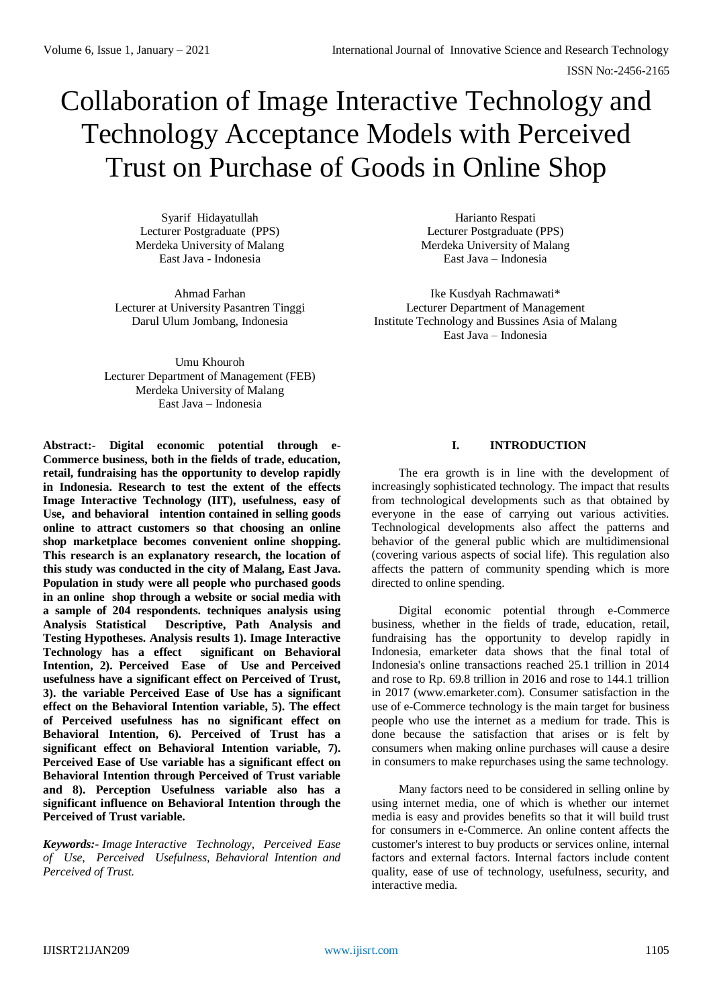# Collaboration of Image Interactive Technology and Technology Acceptance Models with Perceived Trust on Purchase of Goods in Online Shop

Syarif Hidayatullah Lecturer Postgraduate (PPS) Merdeka University of Malang East Java - Indonesia

Ahmad Farhan Lecturer at University Pasantren Tinggi Darul Ulum Jombang, Indonesia

Harianto Respati Lecturer Postgraduate (PPS) Merdeka University of Malang East Java – Indonesia

Ike Kusdyah Rachmawati\* Lecturer Department of Management Institute Technology and Bussines Asia of Malang East Java – Indonesia

Umu Khouroh Lecturer Department of Management (FEB) Merdeka University of Malang East Java – Indonesia

**Abstract:- Digital economic potential through e-Commerce business, both in the fields of trade, education, retail, fundraising has the opportunity to develop rapidly in Indonesia. Research to test the extent of the effects Image Interactive Technology (IIT), usefulness, easy of Use, and behavioral intention contained in selling goods online to attract customers so that choosing an online shop marketplace becomes convenient online shopping. This research is an explanatory research, the location of this study was conducted in the city of Malang, East Java. Population in study were all people who purchased goods in an online shop through a website or social media with a sample of 204 respondents. techniques analysis using Analysis Statistical Descriptive, Path Analysis and Testing Hypotheses. Analysis results 1). Image Interactive Technology has a effect significant on Behavioral Intention, 2). Perceived Ease of Use and Perceived usefulness have a significant effect on Perceived of Trust, 3). the variable Perceived Ease of Use has a significant effect on the Behavioral Intention variable, 5). The effect of Perceived usefulness has no significant effect on Behavioral Intention, 6). Perceived of Trust has a significant effect on Behavioral Intention variable, 7). Perceived Ease of Use variable has a significant effect on Behavioral Intention through Perceived of Trust variable and 8). Perception Usefulness variable also has a significant influence on Behavioral Intention through the Perceived of Trust variable.**

*Keywords:- Image Interactive Technology, Perceived Ease of Use, Perceived Usefulness, Behavioral Intention and Perceived of Trust.* 

# **I. INTRODUCTION**

The era growth is in line with the development of increasingly sophisticated technology. The impact that results from technological developments such as that obtained by everyone in the ease of carrying out various activities. Technological developments also affect the patterns and behavior of the general public which are multidimensional (covering various aspects of social life). This regulation also affects the pattern of community spending which is more directed to online spending.

Digital economic potential through e-Commerce business, whether in the fields of trade, education, retail, fundraising has the opportunity to develop rapidly in Indonesia, emarketer data shows that the final total of Indonesia's online transactions reached 25.1 trillion in 2014 and rose to Rp. 69.8 trillion in 2016 and rose to 144.1 trillion in 2017 (www.emarketer.com). Consumer satisfaction in the use of e-Commerce technology is the main target for business people who use the internet as a medium for trade. This is done because the satisfaction that arises or is felt by consumers when making online purchases will cause a desire in consumers to make repurchases using the same technology.

Many factors need to be considered in selling online by using internet media, one of which is whether our internet media is easy and provides benefits so that it will build trust for consumers in e-Commerce. An online content affects the customer's interest to buy products or services online, internal factors and external factors. Internal factors include content quality, ease of use of technology, usefulness, security, and interactive media.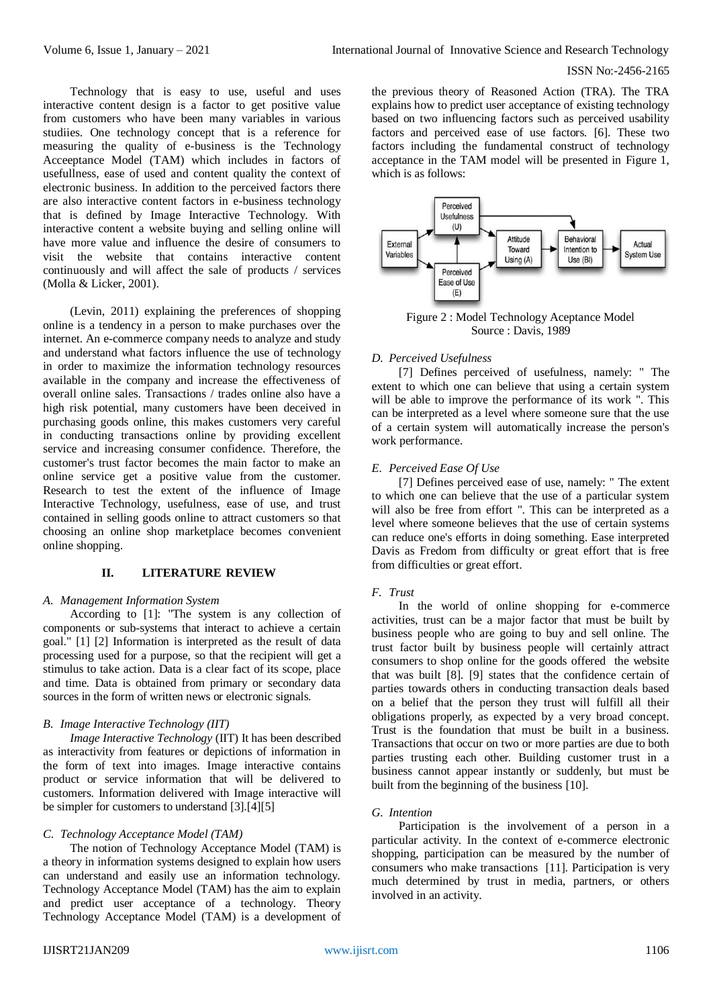Technology that is easy to use, useful and uses interactive content design is a factor to get positive value from customers who have been many variables in various studiies. One technology concept that is a reference for measuring the quality of e-business is the Technology Acceeptance Model (TAM) which includes in factors of usefullness, ease of used and content quality the context of electronic business. In addition to the perceived factors there are also interactive content factors in e-business technology that is defined by Image Interactive Technology. With interactive content a website buying and selling online will have more value and influence the desire of consumers to visit the website that contains interactive content continuously and will affect the sale of products / services (Molla & Licker, 2001).

(Levin, 2011) explaining the preferences of shopping online is a tendency in a person to make purchases over the internet. An e-commerce company needs to analyze and study and understand what factors influence the use of technology in order to maximize the information technology resources available in the company and increase the effectiveness of overall online sales. Transactions / trades online also have a high risk potential, many customers have been deceived in purchasing goods online, this makes customers very careful in conducting transactions online by providing excellent service and increasing consumer confidence. Therefore, the customer's trust factor becomes the main factor to make an online service get a positive value from the customer. Research to test the extent of the influence of Image Interactive Technology, usefulness, ease of use, and trust contained in selling goods online to attract customers so that choosing an online shop marketplace becomes convenient online shopping.

# **II. LITERATURE REVIEW**

#### *A. Management Information System*

According to [1]: "The system is any collection of components or sub-systems that interact to achieve a certain goal." [1] [2] Information is interpreted as the result of data processing used for a purpose, so that the recipient will get a stimulus to take action. Data is a clear fact of its scope, place and time. Data is obtained from primary or secondary data sources in the form of written news or electronic signals.

# *B. Image Interactive Technology (IIT)*

*Image Interactive Technology* (IIT) It has been described as interactivity from features or depictions of information in the form of text into images. Image interactive contains product or service information that will be delivered to customers. Information delivered with Image interactive will be simpler for customers to understand [3].[4][5]

# *C. Technology Acceptance Model (TAM)*

The notion of Technology Acceptance Model (TAM) is a theory in information systems designed to explain how users can understand and easily use an information technology. Technology Acceptance Model (TAM) has the aim to explain and predict user acceptance of a technology. Theory Technology Acceptance Model (TAM) is a development of the previous theory of Reasoned Action (TRA). The TRA explains how to predict user acceptance of existing technology based on two influencing factors such as perceived usability factors and perceived ease of use factors. [6]. These two factors including the fundamental construct of technology acceptance in the TAM model will be presented in Figure 1, which is as follows:



Figure 2 : Model Technology Aceptance Model Source : Davis, 1989

# *D. Perceived Usefulness*

[7] Defines perceived of usefulness, namely: " The extent to which one can believe that using a certain system will be able to improve the performance of its work ". This can be interpreted as a level where someone sure that the use of a certain system will automatically increase the person's work performance.

# *E. Perceived Ease Of Use*

[7] Defines perceived ease of use, namely: " The extent to which one can believe that the use of a particular system will also be free from effort ". This can be interpreted as a level where someone believes that the use of certain systems can reduce one's efforts in doing something. Ease interpreted Davis as Fredom from difficulty or great effort that is free from difficulties or great effort.

# *F. Trust*

In the world of online shopping for e-commerce activities, trust can be a major factor that must be built by business people who are going to buy and sell online. The trust factor built by business people will certainly attract consumers to shop online for the goods offered the website that was built [8]. [9] states that the confidence certain of parties towards others in conducting transaction deals based on a belief that the person they trust will fulfill all their obligations properly, as expected by a very broad concept. Trust is the foundation that must be built in a business. Transactions that occur on two or more parties are due to both parties trusting each other. Building customer trust in a business cannot appear instantly or suddenly, but must be built from the beginning of the business [10].

## *G. Intention*

Participation is the involvement of a person in a particular activity. In the context of e-commerce electronic shopping, participation can be measured by the number of consumers who make transactions [11]. Participation is very much determined by trust in media, partners, or others involved in an activity.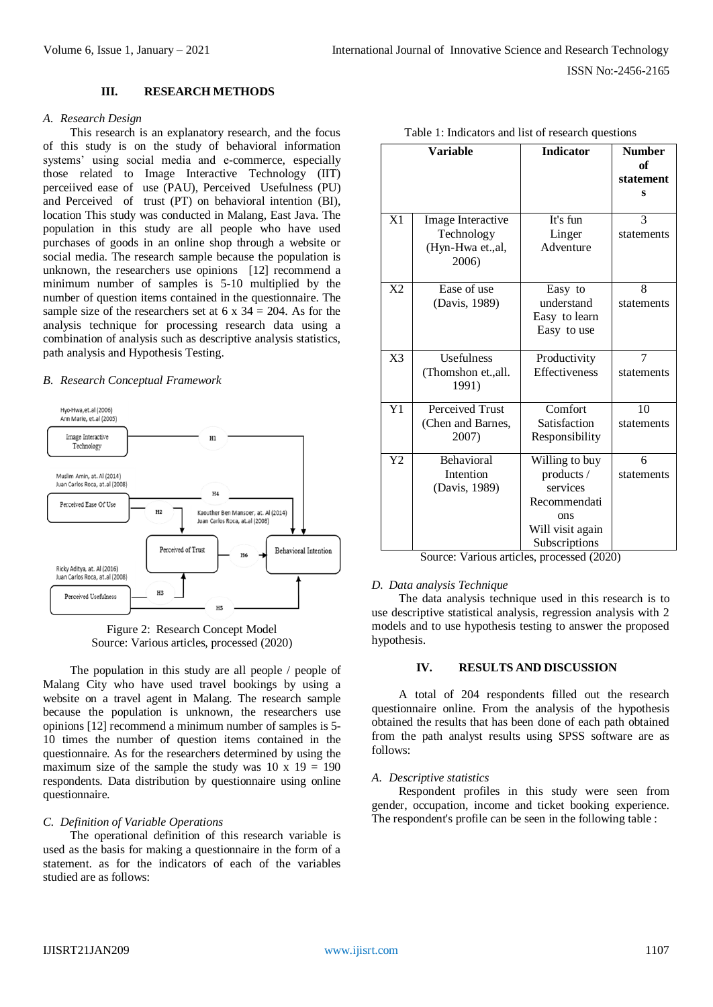## **III. RESEARCH METHODS**

## *A. Research Design*

This research is an explanatory research, and the focus of this study is on the study of behavioral information systems' using social media and e-commerce, especially those related to Image Interactive Technology (IIT) perceiived ease of use (PAU), Perceived Usefulness (PU) and Perceived of trust (PT) on behavioral intention (BI), location This study was conducted in Malang, East Java. The population in this study are all people who have used purchases of goods in an online shop through a website or social media. The research sample because the population is unknown, the researchers use opinions [12] recommend a minimum number of samples is 5-10 multiplied by the number of question items contained in the questionnaire. The sample size of the researchers set at  $6 \times 34 = 204$ . As for the analysis technique for processing research data using a combination of analysis such as descriptive analysis statistics, path analysis and Hypothesis Testing.

#### *B. Research Conceptual Framework*





The population in this study are all people / people of Malang City who have used travel bookings by using a website on a travel agent in Malang. The research sample because the population is unknown, the researchers use opinions [12] recommend a minimum number of samples is 5- 10 times the number of question items contained in the questionnaire. As for the researchers determined by using the maximum size of the sample the study was  $10 \times 19 = 190$ respondents. Data distribution by questionnaire using online questionnaire.

# *C. Definition of Variable Operations*

The operational definition of this research variable is used as the basis for making a questionnaire in the form of a statement. as for the indicators of each of the variables studied are as follows:

|                | <b>Variable</b>                                              | <b>Indicator</b>                                                                                     | <b>Number</b><br>of<br>statement<br>S |
|----------------|--------------------------------------------------------------|------------------------------------------------------------------------------------------------------|---------------------------------------|
| X1             | Image Interactive<br>Technology<br>(Hyn-Hwa et.,al,<br>2006) | It's fun<br>Linger<br>Adventure                                                                      | 3<br>statements                       |
| X <sub>2</sub> | Ease of use<br>(Davis, 1989)                                 | Easy to<br>understand<br>Easy to learn<br>Easy to use                                                | 8<br>statements                       |
| X <sub>3</sub> | <b>Usefulness</b><br>(Thomshon et., all.<br>1991)            | Productivity<br><b>Effectiveness</b>                                                                 | 7<br>statements                       |
| Y1             | Perceived Trust<br>(Chen and Barnes,<br>2007)                | Comfort<br>Satisfaction<br>Responsibility                                                            | 10<br>statements                      |
| Y <sub>2</sub> | <b>Behavioral</b><br>Intention<br>(Davis, 1989)              | Willing to buy<br>products /<br>services<br>Recommendati<br>ons<br>Will visit again<br>Subscriptions | 6<br>statements                       |

|  |  |  | Table 1: Indicators and list of research questions |  |
|--|--|--|----------------------------------------------------|--|
|--|--|--|----------------------------------------------------|--|

#### *D. Data analysis Technique*

The data analysis technique used in this research is to use descriptive statistical analysis, regression analysis with 2 models and to use hypothesis testing to answer the proposed hypothesis.

## **IV. RESULTS AND DISCUSSION**

A total of 204 respondents filled out the research questionnaire online. From the analysis of the hypothesis obtained the results that has been done of each path obtained from the path analyst results using SPSS software are as follows:

#### *A. Descriptive statistics*

Respondent profiles in this study were seen from gender, occupation, income and ticket booking experience. The respondent's profile can be seen in the following table :

Source: Various articles, processed (2020)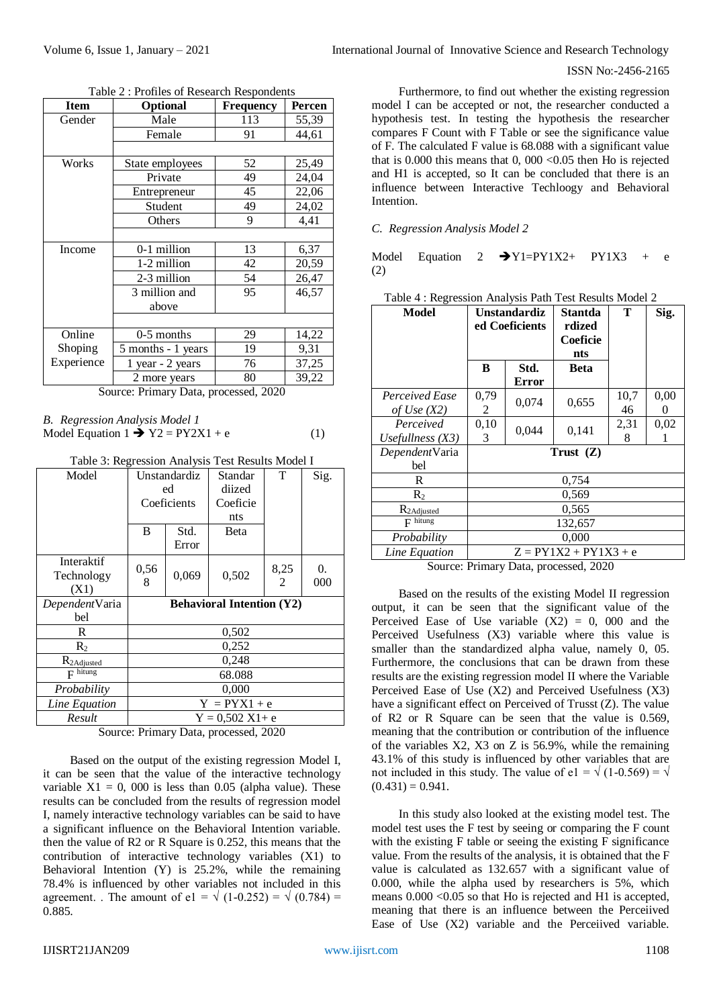| Item       | Optional           | <b>Frequency</b> | Percen |
|------------|--------------------|------------------|--------|
| Gender     | Male<br>113        |                  | 55,39  |
|            | Female             | 91               | 44,61  |
|            |                    |                  |        |
| Works      | State employees    | 52               | 25,49  |
|            | Private            | 49               | 24,04  |
|            | Entrepreneur       | 45               | 22,06  |
|            | Student            | 49               | 24,02  |
|            | Others             | 9                | 4,41   |
|            |                    |                  |        |
| Income     | 0-1 million        | 13               | 6,37   |
|            | 1-2 million        | 42               | 20,59  |
|            | 2-3 million        | 54               | 26,47  |
|            | 3 million and      | 95               | 46,57  |
|            | above              |                  |        |
|            |                    |                  |        |
| Online     | $0-5$ months       | 29               | 14,22  |
| Shoping    | 5 months - 1 years | 19               | 9,31   |
| Experience | 1 year - 2 years   | 76               | 37,25  |
|            | 2 more years       | 80               | 39,22  |
| $\sim$     | $\mathbf{\bar{n}}$ | 1.0000           |        |

Table 2 : Profiles of Research Respondents

Source: Primary Data, processed, 2020

| <b>B.</b> Regression Analysis Model 1         |     |
|-----------------------------------------------|-----|
| Model Equation 1 $\rightarrow$ Y2 = PY2X1 + e | (1) |

Table 3: Regression Analysis Test Results Model I

| Model                   |                                  | Unstandardiz | Standar                    | T    | Sig. |  |
|-------------------------|----------------------------------|--------------|----------------------------|------|------|--|
|                         |                                  | ed           | diized                     |      |      |  |
|                         |                                  | Coeficients  | Coeficie                   |      |      |  |
|                         |                                  |              | nts                        |      |      |  |
|                         | B                                | Std.         | Beta                       |      |      |  |
|                         |                                  | Error        |                            |      |      |  |
| Interaktif              | 0,56                             |              |                            | 8,25 | 0.   |  |
| Technology              |                                  | 0,069        | 0,502                      |      |      |  |
| (X1)                    | 8                                |              |                            | 2    | 000  |  |
| DependentVaria          | <b>Behavioral Intention (Y2)</b> |              |                            |      |      |  |
| bel                     |                                  |              |                            |      |      |  |
| R                       |                                  |              | 0,502                      |      |      |  |
| R <sub>2</sub>          |                                  |              | 0,252                      |      |      |  |
| R <sub>2</sub> Adjusted | 0,248                            |              |                            |      |      |  |
| $F$ hitung              | 68.088                           |              |                            |      |      |  |
| Probability             | 0,000                            |              |                            |      |      |  |
| Line Equation           | $Y = PYX1 + e$                   |              |                            |      |      |  |
| Result                  |                                  |              | $Y = 0,502 \text{ X1} + e$ |      |      |  |

Source: Primary Data, processed, 2020

Based on the output of the existing regression Model I, it can be seen that the value of the interactive technology variable  $X1 = 0$ , 000 is less than 0.05 (alpha value). These results can be concluded from the results of regression model I, namely interactive technology variables can be said to have a significant influence on the Behavioral Intention variable. then the value of R2 or R Square is 0.252, this means that the contribution of interactive technology variables (X1) to Behavioral Intention (Y) is 25.2%, while the remaining 78.4% is influenced by other variables not included in this agreement. . The amount of e1 =  $\sqrt{(1-0.252)} = \sqrt{(0.784)}$  = 0.885.

Furthermore, to find out whether the existing regression model I can be accepted or not, the researcher conducted a hypothesis test. In testing the hypothesis the researcher compares F Count with F Table or see the significance value of F. The calculated F value is 68.088 with a significant value that is  $0.000$  this means that  $0,000 < 0.05$  then Ho is rejected and H1 is accepted, so It can be concluded that there is an influence between Interactive Techloogy and Behavioral Intention.

# *C. Regression Analysis Model 2*

Model Equation 2  $\rightarrow$  Y1=PY1X2+ PY1X3 + e (2)

| <b>Model</b>                    | Unstandardiz<br>ed Coeficients      |               | Stantda<br>rdized<br>Coeficie<br>nts | T          | Sig.             |  |
|---------------------------------|-------------------------------------|---------------|--------------------------------------|------------|------------------|--|
|                                 | B                                   | Std.<br>Error | Beta                                 |            |                  |  |
| Perceived Ease<br>of Use $(X2)$ | 0,79<br>2                           | 0,074         | 0,655                                | 10,7<br>46 | 0,00<br>$\theta$ |  |
| Perceived<br>Usefullness $(X3)$ | 0,10<br>3                           | 0,044         | 0,141                                | 2,31<br>8  | 0,02             |  |
| DependentVaria<br>bel           | Trust $(Z)$                         |               |                                      |            |                  |  |
| R                               | 0,754                               |               |                                      |            |                  |  |
| $\mathbf{R}_{2}$                | 0,569                               |               |                                      |            |                  |  |
| R <sub>2</sub> Adjusted         | 0.565                               |               |                                      |            |                  |  |
| $F$ hitung                      | 132,657                             |               |                                      |            |                  |  |
| Probability                     | 0,000                               |               |                                      |            |                  |  |
| Line Equation                   |                                     |               | $Z = PY1X2 + PY1X3 + e$              |            |                  |  |
|                                 | Source: Drimery Deta processed 2020 |               |                                      |            |                  |  |

|  | Table 4 : Regression Analysis Path Test Results Model 2 |  |  |
|--|---------------------------------------------------------|--|--|
|  |                                                         |  |  |

Source: Primary Data, processed, 2020

Based on the results of the existing Model II regression output, it can be seen that the significant value of the Perceived Ease of Use variable  $(X2) = 0$ , 000 and the Perceived Usefulness (X3) variable where this value is smaller than the standardized alpha value, namely 0, 05. Furthermore, the conclusions that can be drawn from these results are the existing regression model II where the Variable Perceived Ease of Use (X2) and Perceived Usefulness (X3) have a significant effect on Perceived of Trusst (Z). The value of R2 or R Square can be seen that the value is 0.569, meaning that the contribution or contribution of the influence of the variables X2, X3 on Z is 56.9%, while the remaining 43.1% of this study is influenced by other variables that are not included in this study. The value of e1 =  $\sqrt{(1-0.569)} = \sqrt{0.569}$  $(0.431) = 0.941$ .

In this study also looked at the existing model test. The model test uses the F test by seeing or comparing the F count with the existing F table or seeing the existing F significance value. From the results of the analysis, it is obtained that the F value is calculated as 132.657 with a significant value of 0.000, while the alpha used by researchers is 5%, which means 0.000 <0.05 so that Ho is rejected and H1 is accepted, meaning that there is an influence between the Perceiived Ease of Use (X2) variable and the Perceiived variable.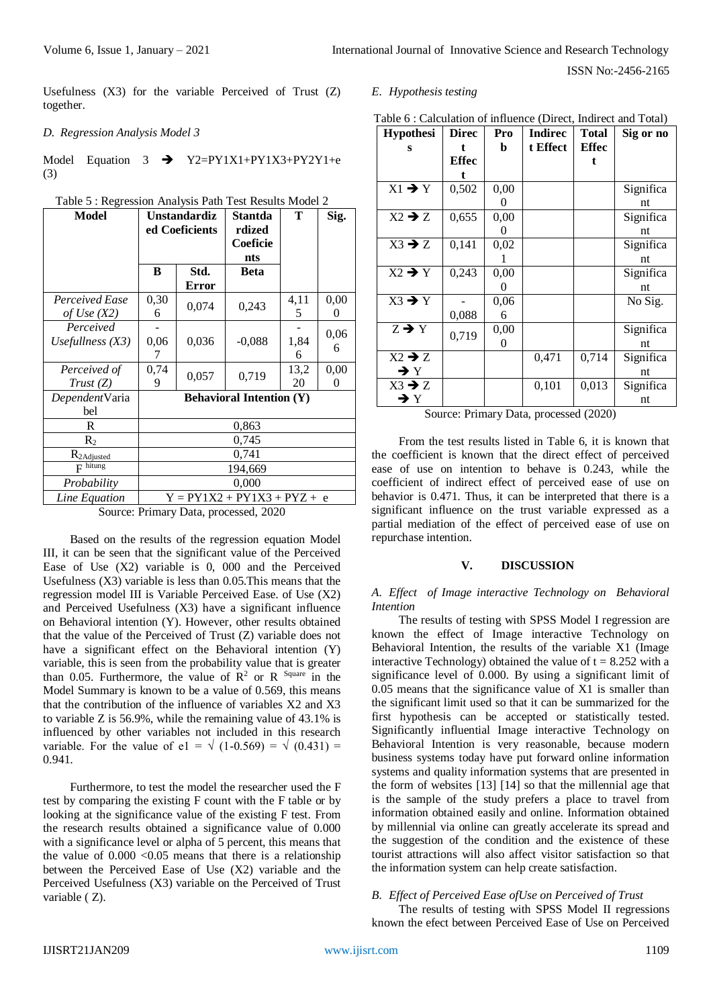Usefulness (X3) for the variable Perceived of Trust (Z) together.

# *D. Regression Analysis Model 3*

Model Equation  $3 \rightarrow Y2=PY1X1+PY1X3+PY2Y1+e$ (3)

| <b>Model</b>            | Unstandardiz<br>ed Coeficients |       | Stantda<br>rdized               | Т    | Sig.     |
|-------------------------|--------------------------------|-------|---------------------------------|------|----------|
|                         |                                |       | Coeficie                        |      |          |
|                         |                                |       | nts                             |      |          |
|                         | B                              | Std.  | <b>Beta</b>                     |      |          |
|                         |                                | Error |                                 |      |          |
| Perceived Ease          | 0,30                           | 0,074 | 0,243                           | 4,11 | 0,00     |
| of Use $(X2)$           | 6                              |       |                                 | 5    | $\theta$ |
| Perceived               |                                |       |                                 |      | 0,06     |
| Usefullness $(X3)$      | 0,06                           | 0,036 | $-0,088$                        | 1,84 | 6        |
|                         | 7                              |       |                                 | 6    |          |
| Perceived of            | 0,74                           | 0,057 | 0,719                           | 13,2 | 0,00     |
| Trust(Z)                | 9                              |       |                                 | 20   | $\theta$ |
| <i>Dependent</i> Varia  |                                |       | <b>Behavioral Intention (Y)</b> |      |          |
| bel                     |                                |       |                                 |      |          |
| R                       | 0,863                          |       |                                 |      |          |
| $\mathbf{R}_{2}$        | 0,745                          |       |                                 |      |          |
| R <sub>2</sub> Adjusted |                                |       | 0,741                           |      |          |
| $F$ hitung              | 194,669                        |       |                                 |      |          |
| Probability             |                                |       | 0,000                           |      |          |
| Line Equation           |                                |       | $Y = PY1X2 + PY1X3 + PYZ + e$   |      |          |

Table 5 : Regression Analysis Path Test Results Model 2

Source: Primary Data, processed, 2020

Based on the results of the regression equation Model III, it can be seen that the significant value of the Perceived Ease of Use (X2) variable is 0, 000 and the Perceived Usefulness (X3) variable is less than 0.05.This means that the regression model III is Variable Perceived Ease. of Use (X2) and Perceived Usefulness (X3) have a significant influence on Behavioral intention (Y). However, other results obtained that the value of the Perceived of Trust (Z) variable does not have a significant effect on the Behavioral intention (Y) variable, this is seen from the probability value that is greater than 0.05. Furthermore, the value of  $R^2$  or R <sup>Square</sup> in the Model Summary is known to be a value of 0.569, this means that the contribution of the influence of variables X2 and X3 to variable Z is 56.9%, while the remaining value of 43.1% is influenced by other variables not included in this research variable. For the value of e1 =  $\sqrt{(1-0.569)} = \sqrt{(0.431)}$  = 0.941.

Furthermore, to test the model the researcher used the F test by comparing the existing F count with the F table or by looking at the significance value of the existing F test. From the research results obtained a significance value of 0.000 with a significance level or alpha of 5 percent, this means that the value of  $0.000 < 0.05$  means that there is a relationship between the Perceived Ease of Use (X2) variable and the Perceived Usefulness (X3) variable on the Perceived of Trust variable ( Z).

# *E. Hypothesis testing*

| Table 6 : Calculation of influence (Direct, Indirect and Total) |  |  |  |
|-----------------------------------------------------------------|--|--|--|
|-----------------------------------------------------------------|--|--|--|

| <b>Hypothesi</b>   | <b>Direc</b> | Pro      | <b>Indirec</b> | <b>Total</b> | Sig or no |
|--------------------|--------------|----------|----------------|--------------|-----------|
| s                  | t            | b        | t Effect       | <b>Effec</b> |           |
|                    | Effec        |          |                | t            |           |
|                    |              |          |                |              |           |
| $X1 \rightarrow Y$ | 0,502        | 0,00     |                |              | Significa |
|                    |              | 0        |                |              | nt        |
| $X2 \rightarrow Z$ | 0,655        | 0,00     |                |              | Significa |
|                    |              | $\theta$ |                |              | nt        |
| $X3 \rightarrow Z$ | 0,141        | 0,02     |                |              | Significa |
|                    |              |          |                |              | nt        |
| $X2 \rightarrow Y$ | 0,243        | 0,00     |                |              | Significa |
|                    |              | 0        |                |              | nt        |
| $X3 \rightarrow Y$ |              | 0,06     |                |              | No Sig.   |
|                    | 0,088        | 6        |                |              |           |
| $Z \rightarrow Y$  |              | 0,00     |                |              | Significa |
|                    | 0,719        | 0        |                |              | nt        |
| $X2 \rightarrow Z$ |              |          | 0,471          | 0,714        | Significa |
| $\rightarrow$ Y    |              |          |                |              | nt        |
| $X3 \rightarrow Z$ |              |          | 0,101          | 0,013        | Significa |
| $\rightarrow$ Y    |              |          |                |              | nt        |

Source: Primary Data, processed (2020)

From the test results listed in Table 6, it is known that the coefficient is known that the direct effect of perceived ease of use on intention to behave is 0.243, while the coefficient of indirect effect of perceived ease of use on behavior is 0.471. Thus, it can be interpreted that there is a significant influence on the trust variable expressed as a partial mediation of the effect of perceived ease of use on repurchase intention.

#### **V. DISCUSSION**

*A. Effect of Image interactive Technology on Behavioral Intention*

The results of testing with SPSS Model I regression are known the effect of Image interactive Technology on Behavioral Intention, the results of the variable X1 (Image interactive Technology) obtained the value of  $t = 8.252$  with a significance level of 0.000. By using a significant limit of 0.05 means that the significance value of X1 is smaller than the significant limit used so that it can be summarized for the first hypothesis can be accepted or statistically tested. Significantly influential Image interactive Technology on Behavioral Intention is very reasonable, because modern business systems today have put forward online information systems and quality information systems that are presented in the form of websites [13] [14] so that the millennial age that is the sample of the study prefers a place to travel from information obtained easily and online. Information obtained by millennial via online can greatly accelerate its spread and the suggestion of the condition and the existence of these tourist attractions will also affect visitor satisfaction so that the information system can help create satisfaction.

# *B. Effect of Perceived Ease ofUse on Perceived of Trust*

The results of testing with SPSS Model II regressions known the efect between Perceived Ease of Use on Perceived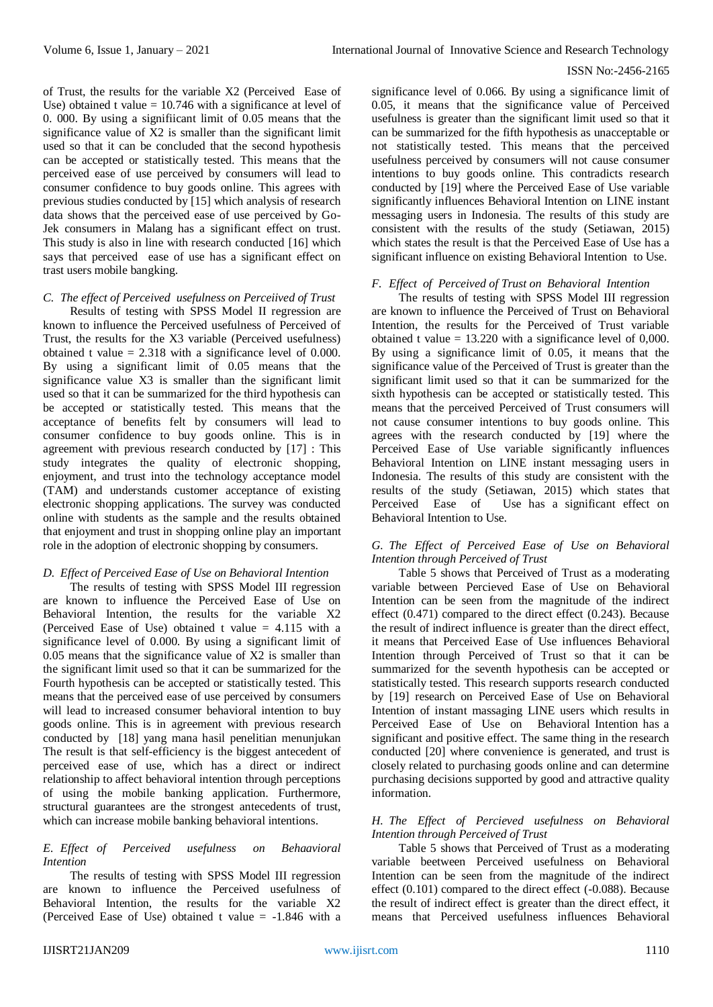of Trust, the results for the variable X2 (Perceived Ease of Use) obtained t value  $= 10.746$  with a significance at level of 0. 000. By using a signifiicant limit of 0.05 means that the significance value of X2 is smaller than the significant limit used so that it can be concluded that the second hypothesis can be accepted or statistically tested. This means that the perceived ease of use perceived by consumers will lead to consumer confidence to buy goods online. This agrees with previous studies conducted by [15] which analysis of research data shows that the perceived ease of use perceived by Go-Jek consumers in Malang has a significant effect on trust. This study is also in line with research conducted [16] which says that perceived ease of use has a significant effect on trast users mobile bangking.

# *C. The effect of Perceived usefulness on Perceiived of Trust*

Results of testing with SPSS Model II regression are known to influence the Perceived usefulness of Perceived of Trust, the results for the X3 variable (Perceived usefulness) obtained t value  $= 2.318$  with a significance level of 0.000. By using a significant limit of 0.05 means that the significance value X3 is smaller than the significant limit used so that it can be summarized for the third hypothesis can be accepted or statistically tested. This means that the acceptance of benefits felt by consumers will lead to consumer confidence to buy goods online. This is in agreement with previous research conducted by [17] : This study integrates the quality of electronic shopping, enjoyment, and trust into the technology acceptance model (TAM) and understands customer acceptance of existing electronic shopping applications. The survey was conducted online with students as the sample and the results obtained that enjoyment and trust in shopping online play an important role in the adoption of electronic shopping by consumers.

# *D. Effect of Perceived Ease of Use on Behavioral Intention*

The results of testing with SPSS Model III regression are known to influence the Perceived Ease of Use on Behavioral Intention, the results for the variable X2 (Perceived Ease of Use) obtained t value  $= 4.115$  with a significance level of 0.000. By using a significant limit of 0.05 means that the significance value of X2 is smaller than the significant limit used so that it can be summarized for the Fourth hypothesis can be accepted or statistically tested. This means that the perceived ease of use perceived by consumers will lead to increased consumer behavioral intention to buy goods online. This is in agreement with previous research conducted by [18] yang mana hasil penelitian menunjukan The result is that self-efficiency is the biggest antecedent of perceived ease of use, which has a direct or indirect relationship to affect behavioral intention through perceptions of using the mobile banking application. Furthermore, structural guarantees are the strongest antecedents of trust, which can increase mobile banking behavioral intentions.

# *E. Effect of Perceived usefulness on Behaavioral Intention*

The results of testing with SPSS Model III regression are known to influence the Perceived usefulness of Behavioral Intention, the results for the variable X2 (Perceived Ease of Use) obtained t value = -1.846 with a significance level of 0.066. By using a significance limit of 0.05, it means that the significance value of Perceived usefulness is greater than the significant limit used so that it can be summarized for the fifth hypothesis as unacceptable or not statistically tested. This means that the perceived usefulness perceived by consumers will not cause consumer intentions to buy goods online. This contradicts research conducted by [19] where the Perceived Ease of Use variable significantly influences Behavioral Intention on LINE instant messaging users in Indonesia. The results of this study are consistent with the results of the study (Setiawan, 2015) which states the result is that the Perceived Ease of Use has a significant influence on existing Behavioral Intention to Use.

## *F. Effect of Perceived of Trust on Behavioral Intention*

The results of testing with SPSS Model III regression are known to influence the Perceived of Trust on Behavioral Intention, the results for the Perceived of Trust variable obtained t value  $= 13.220$  with a significance level of 0,000. By using a significance limit of 0.05, it means that the significance value of the Perceived of Trust is greater than the significant limit used so that it can be summarized for the sixth hypothesis can be accepted or statistically tested. This means that the perceived Perceived of Trust consumers will not cause consumer intentions to buy goods online. This agrees with the research conducted by [19] where the Perceived Ease of Use variable significantly influences Behavioral Intention on LINE instant messaging users in Indonesia. The results of this study are consistent with the results of the study (Setiawan, 2015) which states that<br>Perceived Ease of Use has a significant effect on Use has a significant effect on Behavioral Intention to Use.

# *G. The Effect of Perceived Ease of Use on Behavioral Intention through Perceived of Trust*

Table 5 shows that Perceived of Trust as a moderating variable between Percieved Ease of Use on Behavioral Intention can be seen from the magnitude of the indirect effect (0.471) compared to the direct effect (0.243). Because the result of indirect influence is greater than the direct effect, it means that Perceived Ease of Use influences Behavioral Intention through Perceived of Trust so that it can be summarized for the seventh hypothesis can be accepted or statistically tested. This research supports research conducted by [19] research on Perceived Ease of Use on Behavioral Intention of instant massaging LINE users which results in Perceived Ease of Use on Behavioral Intention has a significant and positive effect. The same thing in the research conducted [20] where convenience is generated, and trust is closely related to purchasing goods online and can determine purchasing decisions supported by good and attractive quality information.

## *H. The Effect of Percieved usefulness on Behavioral Intention through Perceived of Trust*

Table 5 shows that Perceived of Trust as a moderating variable beetween Perceived usefulness on Behavioral Intention can be seen from the magnitude of the indirect effect (0.101) compared to the direct effect (-0.088). Because the result of indirect effect is greater than the direct effect, it means that Perceived usefulness influences Behavioral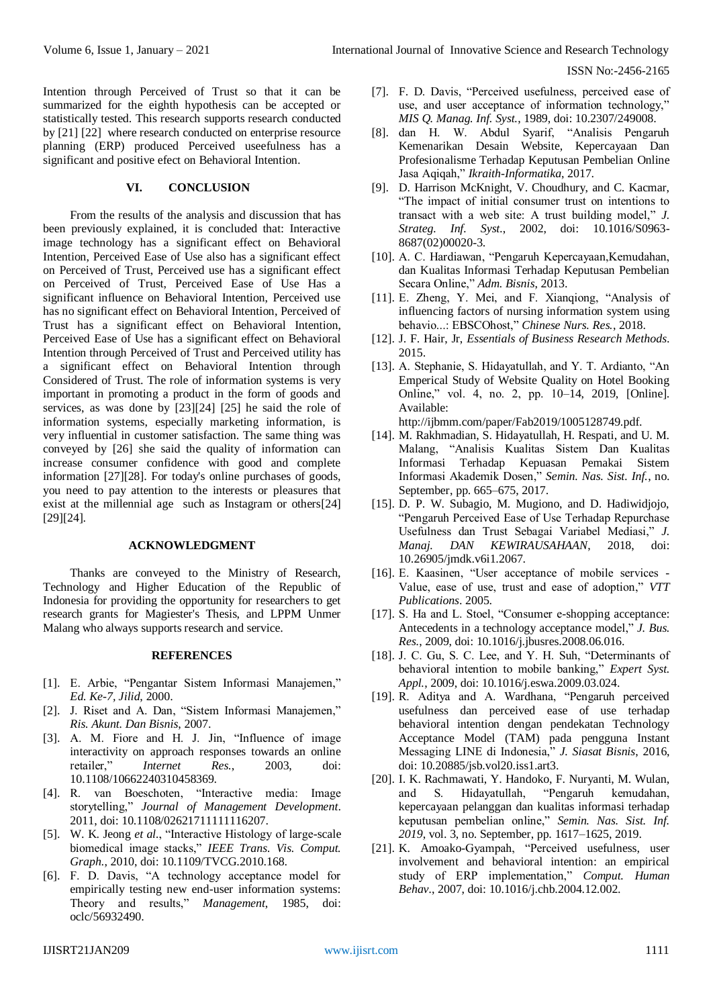Intention through Perceived of Trust so that it can be summarized for the eighth hypothesis can be accepted or statistically tested. This research supports research conducted by [21] [22] where research conducted on enterprise resource planning (ERP) produced Perceived useefulness has a significant and positive efect on Behavioral Intention*.*

# **VI. CONCLUSION**

From the results of the analysis and discussion that has been previously explained, it is concluded that: Interactive image technology has a significant effect on Behavioral Intention, Perceived Ease of Use also has a significant effect on Perceived of Trust, Perceived use has a significant effect on Perceived of Trust, Perceived Ease of Use Has a significant influence on Behavioral Intention, Perceived use has no significant effect on Behavioral Intention, Perceived of Trust has a significant effect on Behavioral Intention, Perceived Ease of Use has a significant effect on Behavioral Intention through Perceived of Trust and Perceived utility has a significant effect on Behavioral Intention through Considered of Trust. The role of information systems is very important in promoting a product in the form of goods and services, as was done by [23][24] [25] he said the role of information systems, especially marketing information, is very influential in customer satisfaction. The same thing was conveyed by [26] she said the quality of information can increase consumer confidence with good and complete information [27][28]. For today's online purchases of goods, you need to pay attention to the interests or pleasures that exist at the millennial age such as Instagram or others[24] [29][24].

# **ACKNOWLEDGMENT**

Thanks are conveyed to the Ministry of Research, Technology and Higher Education of the Republic of Indonesia for providing the opportunity for researchers to get research grants for Magiester's Thesis, and LPPM Unmer Malang who always supports research and service.

## **REFERENCES**

- [1]. E. Arbie, "Pengantar Sistem Informasi Manajemen," *Ed. Ke-7, Jilid*, 2000.
- [2]. J. Riset and A. Dan, "Sistem Informasi Manajemen," *Ris. Akunt. Dan Bisnis*, 2007.
- [3]. A. M. Fiore and H. J. Jin, "Influence of image interactivity on approach responses towards an online retailer," *Internet Res.*, 2003, doi: 10.1108/10662240310458369.
- [4]. R. van Boeschoten, "Interactive media: Image storytelling," *Journal of Management Development*. 2011, doi: 10.1108/02621711111116207.
- [5]. W. K. Jeong *et al.*, "Interactive Histology of large-scale biomedical image stacks," *IEEE Trans. Vis. Comput. Graph.*, 2010, doi: 10.1109/TVCG.2010.168.
- [6]. F. D. Davis, "A technology acceptance model for empirically testing new end-user information systems: Theory and results," *Management*, 1985, doi: oclc/56932490.
- [7]. F. D. Davis, "Perceived usefulness, perceived ease of use, and user acceptance of information technology," *MIS Q. Manag. Inf. Syst.*, 1989, doi: 10.2307/249008.
- [8]. dan H. W. Abdul Syarif, "Analisis Pengaruh Kemenarikan Desain Website, Kepercayaan Dan Profesionalisme Terhadap Keputusan Pembelian Online Jasa Aqiqah," *Ikraith-Informatika*, 2017.
- [9]. D. Harrison McKnight, V. Choudhury, and C. Kacmar, "The impact of initial consumer trust on intentions to transact with a web site: A trust building model," *J. Strateg. Inf. Syst.*, 2002, doi: 10.1016/S0963- 8687(02)00020-3.
- [10]. A. C. Hardiawan, "Pengaruh Kepercayaan,Kemudahan, dan Kualitas Informasi Terhadap Keputusan Pembelian Secara Online," *Adm. Bisnis*, 2013.
- [11]. E. Zheng, Y. Mei, and F. Xianqiong, "Analysis of influencing factors of nursing information system using behavio...: EBSCOhost," *Chinese Nurs. Res.*, 2018.
- [12]. J. F. Hair, Jr, *Essentials of Business Research Methods*. 2015.
- [13]. A. Stephanie, S. Hidayatullah, and Y. T. Ardianto, "An Emperical Study of Website Quality on Hotel Booking Online," vol. 4, no. 2, pp. 10–14, 2019, [Online]. Available:

http://ijbmm.com/paper/Fab2019/1005128749.pdf.

- [14]. M. Rakhmadian, S. Hidayatullah, H. Respati, and U. M. Malang, "Analisis Kualitas Sistem Dan Kualitas Informasi Terhadap Kepuasan Pemakai Sistem Informasi Akademik Dosen," *Semin. Nas. Sist. Inf.*, no. September, pp. 665–675, 2017.
- [15]. D. P. W. Subagio, M. Mugiono, and D. Hadiwidjojo, "Pengaruh Perceived Ease of Use Terhadap Repurchase Usefulness dan Trust Sebagai Variabel Mediasi," *J. Manaj. DAN KEWIRAUSAHAAN*, 2018, doi: 10.26905/jmdk.v6i1.2067.
- [16]. E. Kaasinen, "User acceptance of mobile services Value, ease of use, trust and ease of adoption," *VTT Publications*. 2005.
- [17]. S. Ha and L. Stoel, "Consumer e-shopping acceptance: Antecedents in a technology acceptance model," *J. Bus. Res.*, 2009, doi: 10.1016/j.jbusres.2008.06.016.
- [18]. J. C. Gu, S. C. Lee, and Y. H. Suh, "Determinants of behavioral intention to mobile banking," *Expert Syst. Appl.*, 2009, doi: 10.1016/j.eswa.2009.03.024.
- [19]. R. Aditya and A. Wardhana, "Pengaruh perceived usefulness dan perceived ease of use terhadap behavioral intention dengan pendekatan Technology Acceptance Model (TAM) pada pengguna Instant Messaging LINE di Indonesia," *J. Siasat Bisnis*, 2016, doi: 10.20885/jsb.vol20.iss1.art3.
- [20]. I. K. Rachmawati, Y. Handoko, F. Nuryanti, M. Wulan, and S. Hidayatullah, "Pengaruh kemudahan, kepercayaan pelanggan dan kualitas informasi terhadap keputusan pembelian online," *Semin. Nas. Sist. Inf. 2019*, vol. 3, no. September, pp. 1617–1625, 2019.
- [21]. K. Amoako-Gyampah, "Perceived usefulness, user involvement and behavioral intention: an empirical study of ERP implementation," *Comput. Human Behav.*, 2007, doi: 10.1016/j.chb.2004.12.002.